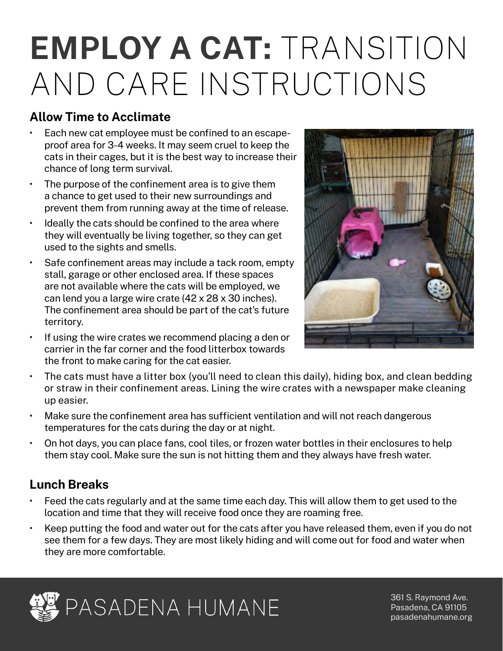# **EMPLOY A CAT:** TRANSITION AND CARE INSTRUCTIONS

### **Allow Time to Acclimate**

- Each new cat employee must be confined to an escapeproof area for 3-4 weeks. It may seem cruel to keep the cats in their cages, but it is the best way to increase their chance of long term survival.
- The purpose of the confinement area is to give them a chance to get used to their new surroundings and prevent them from running away at the time of release.
- Ideally the cats should be confined to the area where they will eventually be living together, so they can get used to the sights and smells.
- Safe confinement areas may include a tack room, empty stall, garage or other enclosed area. If these spaces are not available where the cats will be employed, we can lend you a large wire crate (42 x 28 x 30 inches). The confinement area should be part of the cat's future territory.
- If using the wire crates we recommend placing a den or carrier in the far corner and the food litterbox towards the front to make caring for the cat easier.



- The cats must have a litter box (you'll need to clean this daily), hiding box, and clean bedding or straw in their confinement areas. Lining the wire crates with a newspaper make cleaning up easier.
- Make sure the confinement area has sufficient ventilation and will not reach dangerous temperatures for the cats during the day or at night.
- On hot days, you can place fans, cool tiles, or frozen water bottles in their enclosures to help them stay cool. Make sure the sun is not hitting them and they always have fresh water.

#### **Lunch Breaks**

- Feed the cats regularly and at the same time each day. This will allow them to get used to the location and time that they will receive food once they are roaming free.
- Keep putting the food and water out for the cats after you have released them, even if you do not see them for a few days. They are most likely hiding and will come out for food and water when they are more comfortable.



361 S. Raymond Ave. Pasadena, CA 91105 [pasadenahumane.org](http://pasadenahumane.org)